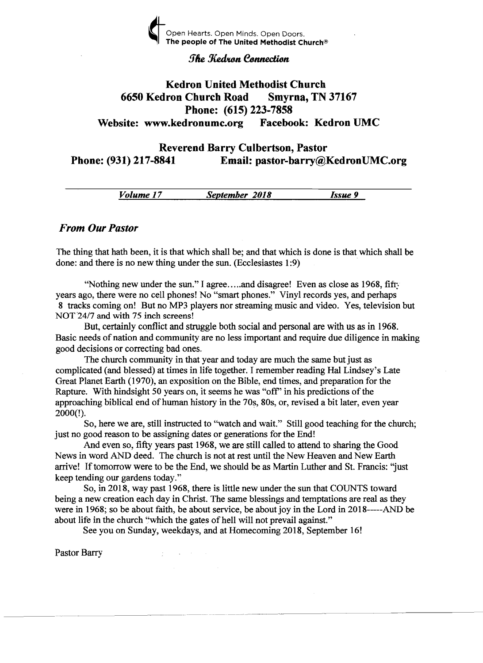

### **The Kedron Connection**

# Kedron United Methodist Church 6650 Kedron Church Road Smyrna, TN 37167 Phone: (615) 223-7858 Website: www.kedronumc.org Facebook: Kedron UMC

# Reverend Barry Culbertson, Pastor Phone: (931) 217-8841 Email: pastor-barry@KedronUMC.org

*Volume 17 September 2018 Issue 9* 

### *From Our Pastor*

The thing that hath been, it is that which shall be; and that which is done is that which shall be done: and there is no new thing under the sun. (Ecclesiastes 1:9)

"Nothing new under the sun." I agree..... and disagree! Even as close as 1968, fifty years ago, there were no cell phones! No "smart phones." Vinyl records yes, and perhaps 8 tracks coming on! But no MP3 players nor streaming music and video. Yes, television but NOT 24/7 and with 75 inch screens!

But, certainly conflict and struggle both social and personal are with us as in 1968. Basic needs of nation and community are no less important and require due diligence in making good decisions or correcting bad ones.

The church community in that year and today are much the same but just as complicated (and blessed) at times in life together. I remember reading Hal Lindsey's Late Great Planet Earth (1970), an exposition on the Bible, end times, and preparation for the Rapture. With hindsight 50 years on, it seems he was "off" in his predictions of the approaching biblical end of human history in the 70s, 80s, or, revised a bit later, even year 2000(!).

So, here we are, still instructed to "watch and wait." Still good teaching for the church; just no good reason to be assigning dates or generations for the End!

And even so, fifty years past 1968, we are still called to attend to sharing the Good News in word AND deed. The church is not at rest until the New Heaven and New Earth arrive! If tomorrow were to be the End, we should be as Martin Luther and St. Francis: "just keep tending our gardens today."

So, in 2018, way past 1968, there is little new under the sun that COUNTS toward being a new creation each day in Christ. The same blessings and temptations are real as they were in 1968; so be about faith, be about service, be about joy in the Lord in 2018-----AND be about life in the church "which the gates of hell will not prevail against."

-----------------------------

See you on Sunday, weekdays, and at Homecoming 2018, September 16!

 $\bar{\gamma}$ 

Pastor Barry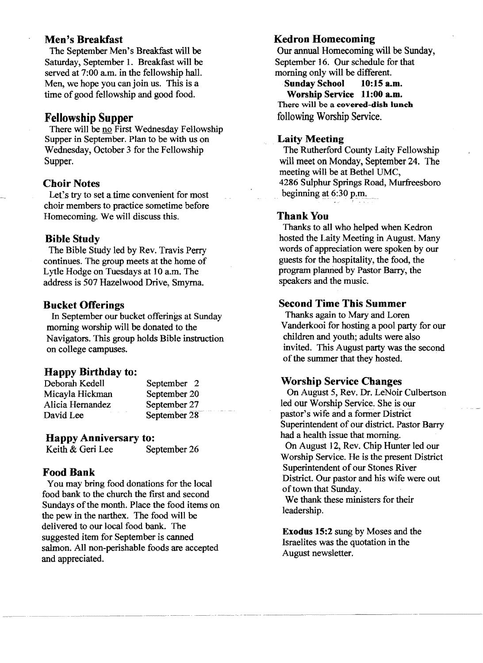# Men's Breakfast

The September Men's Breakfast will be Saturday, September 1. Breakfast will be served at 7:00 a.m. in the fellowship hall. Men, we hope you can join us. This is a time of good fellowship and good food.

## Fellowship Supper

There will be no First Wednesday Fellowship Supper in September. Plan to be with us on Wednesday, October 3 for the Fellowship Supper.

### Choir Notes

Let's try to set atime convenient for most choir members to practice sometime before Homecoming. We will discuss this.

#### Bible Study

The Bible Study led by Rev. Travis Perry continues. The group meets at the home of Lytle Hodge on Tuesdays at 10 a.m. The address is 507 Hazelwood Drive, Smyrna.

### Bucket Offerings

In September our bucket offerings at Sunday morning worship will be donated to the Navigators. This group holds Bible instruction on college campuses.

### Happy Birthday to:

| Deborah Kedell   | September 2    |
|------------------|----------------|
| Micayla Hickman  | September 20   |
| Alicia Hernandez | September 27   |
| David Lee        | September $28$ |

### Happy Anniversary to:

Keith & Geri Lee September 26

### Food Bank

You may bring food donations for the local food bank to the church the first and second Sundays of the month. Place the food items on the pew in the narthex. The food will be delivered to our local food bank. The suggested item for September is canned salmon. All non-perishable foods are accepted and appreciated.

### Kedron Homecoming

Our annual Homecoming wi11 be Sunday, September 16. Our schedule for that morning only will be different.

Sunday School 10:15 a.m. Worship Service 11:00 a.m. There will be a covered-dish lunch following Worship Service.

#### Laity Meeting

The Rutherford County Laity Fellowship will meet on Monday, September 24. The meeting will be at Bethel UMC, 4286 Sulphur Springs Road, Murfreesboro beginning at  $6:30$  p.m.

#### Thank You

Thanks to all who helped when Kedron hosted the Laity Meeting in August. Many words of appreciation were spoken by our guests for the hospitality, the food, the program planried by Pastor Barry, the speakers and the music.

#### Second Time This Summer

Thanks again to Mary and Loren Vanderkooi for hosting a pool party for our children and youth; adults were also invited. This August party was the second of the summer that they hosted.

#### Worship Service Changes

On August 5, Rev. Dr. LeNoir Culbertson led our Worship Service. She is our pastor's wife and a former District Superintendent of our district. Pastor Barry had a health issue that morning. On August 12, Rev. Chip Hunter led our Worship Service. He is the present District Superintendent of our Stones River District. Our pastor and his wife were out of town that Sunday.

We thank these ministers for their leadership.

Exodus 15:2 sung by Moses and the Israelites was the quotation in the August newsletter.

--....... ~ ........ ~-~~ ..... ------~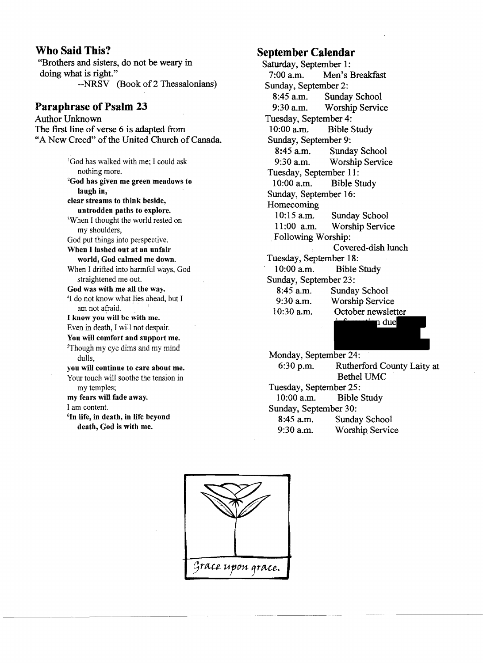### **Who Said This?**

"Brothers and sisters, do not be weary in doing what is right." --NRSV (Book of 2 Thessalonians)

# **Paraphrase of Psalm 23**

Author Unknown The first line of verse 6 is adapted from "A New Creed" of the United Church of Canada. <sup>1</sup>God has walked with me; I could ask nothing more. 2God bas given me green meadows to laugb in, clear streams to tbink beside, untrodden paths to explore. 3When I thought the world rested on my shoulders, God put things into perspective. When I lashed out at an unfair world, God calmed me down. When I drifted into harmful ways, God straightened me out. God was with me all the way. 41 do not know what Jies ahead, but I am not afraid. I know you will be with me. Even in death, I will not despair. You will comfort and support me. 5Though my eye dims and my mind dulls, you will continue to care about me. Your touch will soothe the tension in my temples; my fears will fade away. I am content. 6In life, in death, **in** life beyond death, God is with me.

-----~-~.~-.--------~- .-..\_.

# **September Calendar**

Saturday, September 1:<br>7:00 a.m. Men's l Men's Breakfast Sunday, September 2: 8:45 a.m. Sunday School 9:30 a.m. Worship Service Tuesday, September 4:<br>10:00 a.m. Bible 9 Bible Study Sunday, September 9:<br>8:45 a.m. Sunda Sunday School 9:30 am. Worship Service Tuesday, September 11:<br>10:00 a.m. Bible S Bible Study Sunday, September 16: Homecoming 10:15 a.m. Sunday School 11 :00 a.m. Worship Service Following Worship: Covered-dish lunch Tuesday, September 18: 10:00 a.m. Bible Study Sunday, September 23: 8:45 a.m. Sunday School 9:30 a.m. Worship Service 10:30 am. October newsletter due Monday, September 24: 6:30 p.m. Rutherford County Laity at Bethel UMC Tuesday, September 25:



10:00 a.m. Bible Study Sunday, September 30:

8:45 a.m. Sunday School<br>9:30 a.m. Worship Servic Worship Service